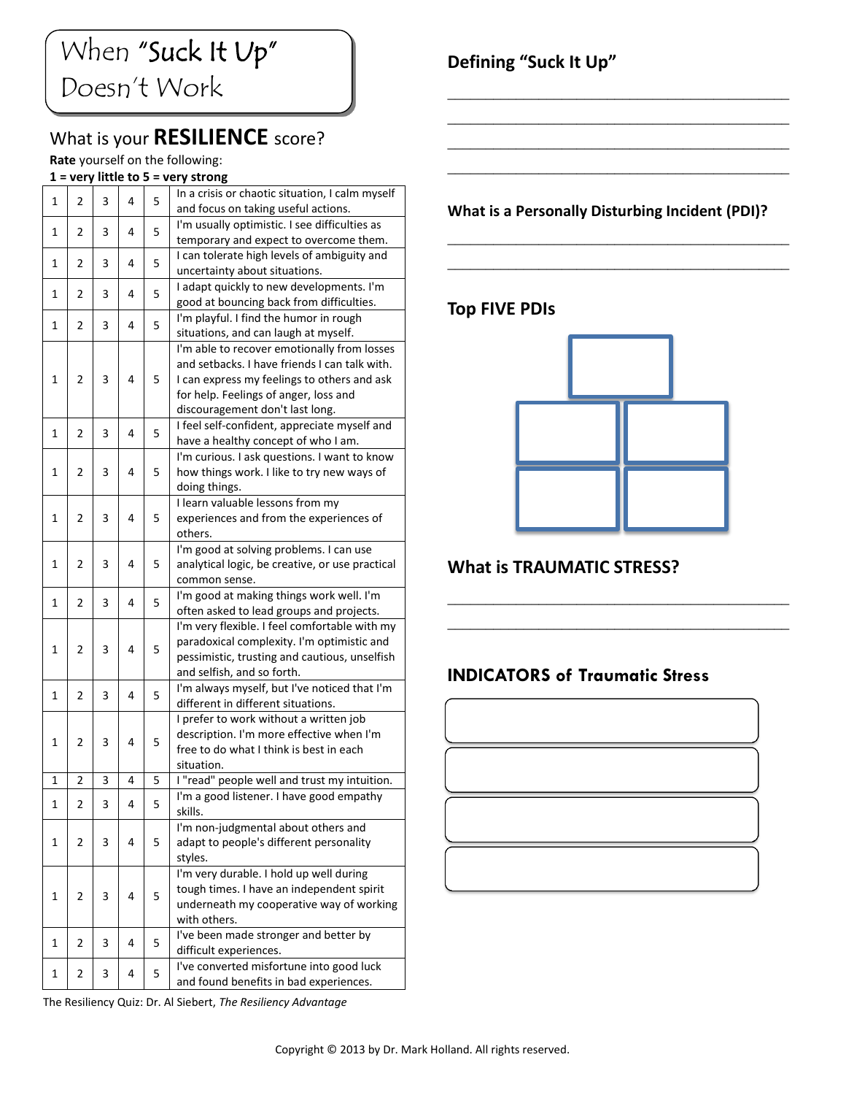# What is your **RESILIENCE** score?

#### **Rate** yourself on the following:

### **1 = very little to 5 = very strong**

|   | י יש           |   |   |   | 360 UHS                                                                                |
|---|----------------|---|---|---|----------------------------------------------------------------------------------------|
| 1 | $\overline{2}$ | 3 | 4 | 5 | In a crisis or chaotic situation, I calm myself<br>and focus on taking useful actions. |
|   |                |   |   |   | I'm usually optimistic. I see difficulties as                                          |
| 1 | 2              | 3 | 4 | 5 | temporary and expect to overcome them.                                                 |
| 1 | 2              | 3 | 4 | 5 | I can tolerate high levels of ambiguity and<br>uncertainty about situations.           |
|   |                |   |   |   |                                                                                        |
| 1 | 2              | 3 | 4 | 5 | I adapt quickly to new developments. I'm<br>good at bouncing back from difficulties.   |
|   |                |   |   |   | I'm playful. I find the humor in rough                                                 |
| 1 | 2              | 3 | 4 | 5 | situations, and can laugh at myself.                                                   |
|   |                |   |   |   | I'm able to recover emotionally from losses                                            |
|   | 2              | 3 | 4 | 5 | and setbacks. I have friends I can talk with.                                          |
| 1 |                |   |   |   | I can express my feelings to others and ask                                            |
|   |                |   |   |   | for help. Feelings of anger, loss and                                                  |
|   |                |   |   |   | discouragement don't last long.                                                        |
|   |                |   |   |   | I feel self-confident, appreciate myself and                                           |
| 1 | 2              | 3 | 4 | 5 | have a healthy concept of who I am.                                                    |
|   |                |   |   |   | I'm curious. I ask questions. I want to know                                           |
| 1 | 2              | 3 | 4 | 5 | how things work. I like to try new ways of                                             |
|   |                |   |   |   |                                                                                        |
|   |                |   |   |   | doing things.<br>I learn valuable lessons from my                                      |
| 1 | 2              | 3 | 4 | 5 |                                                                                        |
|   |                |   |   |   | experiences and from the experiences of                                                |
|   |                |   |   |   | others.                                                                                |
| 1 | 2              | 3 | 4 | 5 | I'm good at solving problems. I can use                                                |
|   |                |   |   |   | analytical logic, be creative, or use practical                                        |
|   |                |   |   |   | common sense.                                                                          |
| 1 | 2              | 3 | 4 | 5 | I'm good at making things work well. I'm                                               |
|   |                |   |   |   | often asked to lead groups and projects.                                               |
|   |                |   |   |   | I'm very flexible. I feel comfortable with my                                          |
| 1 | $\overline{2}$ | 3 | 4 | 5 | paradoxical complexity. I'm optimistic and                                             |
|   |                |   |   |   | pessimistic, trusting and cautious, unselfish                                          |
|   |                |   |   |   | and selfish, and so forth.                                                             |
| 1 | 2              | 3 | 4 | 5 | I'm always myself, but I've noticed that I'm                                           |
|   |                |   |   |   | different in different situations.                                                     |
|   |                |   |   |   | I prefer to work without a written job                                                 |
| 1 | 2              | 3 | 4 | 5 | description. I'm more effective when I'm                                               |
|   |                |   |   |   | free to do what I think is best in each                                                |
|   |                |   |   |   | situation.                                                                             |
| 1 | $\overline{2}$ | 3 | 4 | 5 | I "read" people well and trust my intuition.                                           |
| 1 | 2              | 3 | 4 | 5 | I'm a good listener. I have good empathy                                               |
|   |                |   |   |   | skills.                                                                                |
|   |                |   |   |   | I'm non-judgmental about others and                                                    |
| 1 | 2              | 3 | 4 | 5 | adapt to people's different personality                                                |
|   |                |   |   |   | styles.                                                                                |
|   | 2              | 3 | 4 | 5 | I'm very durable. I hold up well during                                                |
| 1 |                |   |   |   | tough times. I have an independent spirit                                              |
|   |                |   |   |   | underneath my cooperative way of working                                               |
|   |                |   |   |   | with others.                                                                           |
| 1 | 2              | 3 | 4 | 5 | I've been made stronger and better by                                                  |
|   |                |   |   |   | difficult experiences.                                                                 |
| 1 | 2              | 3 | 4 | 5 | I've converted misfortune into good luck                                               |
|   |                |   |   |   | and found benefits in bad experiences.                                                 |

# **Defining "Suck It Up"**

#### **What is a Personally Disturbing Incident (PDI)?**

\_\_\_\_\_\_\_\_\_\_\_\_\_\_\_\_\_\_\_\_\_\_\_\_\_\_\_\_\_\_\_\_\_\_\_\_\_\_\_\_\_\_\_\_\_ \_\_\_\_\_\_\_\_\_\_\_\_\_\_\_\_\_\_\_\_\_\_\_\_\_\_\_\_\_\_\_\_\_\_\_\_\_\_\_\_\_\_\_\_\_

\_\_\_\_\_\_\_\_\_\_\_\_\_\_\_\_\_\_\_\_\_\_\_\_\_\_\_\_\_\_\_\_\_\_\_\_\_\_\_\_\_\_\_\_\_ \_\_\_\_\_\_\_\_\_\_\_\_\_\_\_\_\_\_\_\_\_\_\_\_\_\_\_\_\_\_\_\_\_\_\_\_\_\_\_\_\_\_\_\_\_ \_\_\_\_\_\_\_\_\_\_\_\_\_\_\_\_\_\_\_\_\_\_\_\_\_\_\_\_\_\_\_\_\_\_\_\_\_\_\_\_\_\_\_\_\_ \_\_\_\_\_\_\_\_\_\_\_\_\_\_\_\_\_\_\_\_\_\_\_\_\_\_\_\_\_\_\_\_\_\_\_\_\_\_\_\_\_\_\_\_\_

### **Top FIVE PDIs**



\_\_\_\_\_\_\_\_\_\_\_\_\_\_\_\_\_\_\_\_\_\_\_\_\_\_\_\_\_\_\_\_\_\_\_\_\_\_\_\_\_\_\_\_\_ \_\_\_\_\_\_\_\_\_\_\_\_\_\_\_\_\_\_\_\_\_\_\_\_\_\_\_\_\_\_\_\_\_\_\_\_\_\_\_\_\_\_\_\_\_

#### **What is TRAUMATIC STRESS?**

#### **INDICATORS of Traumatic Stress**



The Resiliency Quiz: Dr. Al Siebert, *The Resiliency Advantage*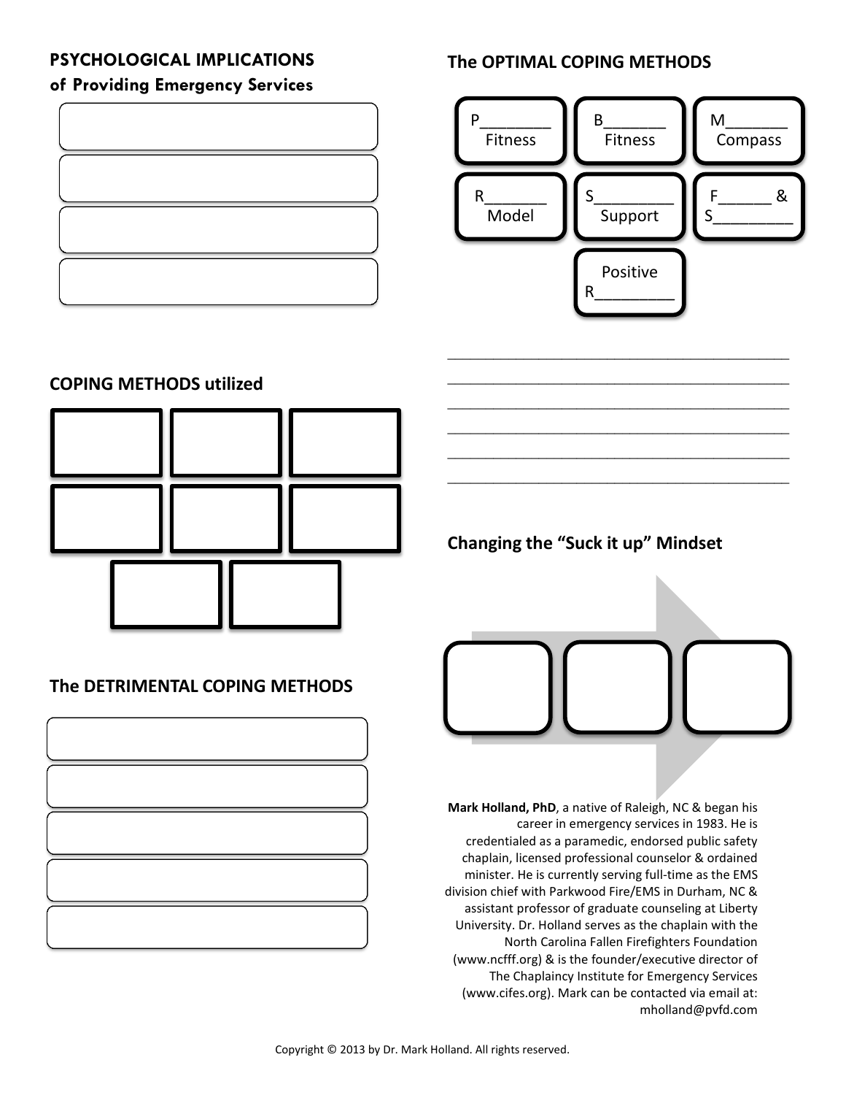## **PSYCHOLOGICAL IMPLICATIONS of Providing Emergency Services**



# **The OPTIMAL COPING METHODS**



\_\_\_\_\_\_\_\_\_\_\_\_\_\_\_\_\_\_\_\_\_\_\_\_\_\_\_\_\_\_\_\_\_\_\_\_\_\_\_\_\_\_\_\_\_ \_\_\_\_\_\_\_\_\_\_\_\_\_\_\_\_\_\_\_\_\_\_\_\_\_\_\_\_\_\_\_\_\_\_\_\_\_\_\_\_\_\_\_\_\_ \_\_\_\_\_\_\_\_\_\_\_\_\_\_\_\_\_\_\_\_\_\_\_\_\_\_\_\_\_\_\_\_\_\_\_\_\_\_\_\_\_\_\_\_\_ \_\_\_\_\_\_\_\_\_\_\_\_\_\_\_\_\_\_\_\_\_\_\_\_\_\_\_\_\_\_\_\_\_\_\_\_\_\_\_\_\_\_\_\_\_ \_\_\_\_\_\_\_\_\_\_\_\_\_\_\_\_\_\_\_\_\_\_\_\_\_\_\_\_\_\_\_\_\_\_\_\_\_\_\_\_\_\_\_\_\_ \_\_\_\_\_\_\_\_\_\_\_\_\_\_\_\_\_\_\_\_\_\_\_\_\_\_\_\_\_\_\_\_\_\_\_\_\_\_\_\_\_\_\_\_\_

# **COPING METHODS utilized**



## **The DETRIMENTAL COPING METHODS**



**Changing the "Suck it up" Mindset**



**Mark Holland, PhD**, a native of Raleigh, NC & began his career in emergency services in 1983. He is credentialed as a paramedic, endorsed public safety chaplain, licensed professional counselor & ordained minister. He is currently serving full-time as the EMS division chief with Parkwood Fire/EMS in Durham, NC & assistant professor of graduate counseling at Liberty University. Dr. Holland serves as the chaplain with the North Carolina Fallen Firefighters Foundation (www.ncfff.org) & is the founder/executive director of The Chaplaincy Institute for Emergency Services (www.cifes.org). Mark can be contacted via email at: mholland@pvfd.com